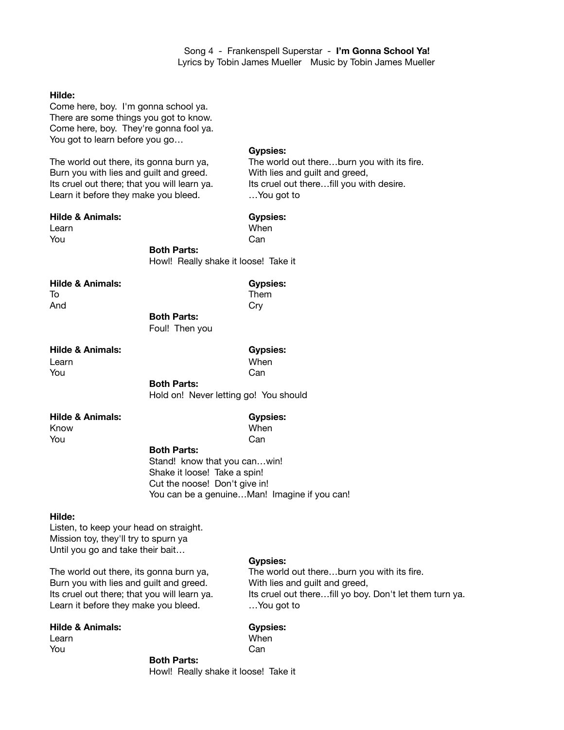Song 4 - Frankenspell Superstar - **I'm Gonna School Ya!** Lyrics by Tobin James Mueller Music by Tobin James Mueller

#### **Hilde:**

Come here, boy. I'm gonna school ya. There are some things you got to know. Come here, boy. They're gonna fool ya. You got to learn before you go…

Burn you with lies and guilt and greed. With lies and guilt and greed, Its cruel out there; that you will learn ya. Its cruel out there...fill you with desire. Learn it before they make you bleed. . . . . . . . You got to

#### **Gypsies:**

The world out there, its gonna burn ya, The world out there...burn you with its fire.

#### **Hilde & Animals: Gypsies:**

Learn **Communist Communist Communist Communist Communist Communist Communist Communist Communist Communist Communist Communist Communist Communist Communist Communist Communist Communist Communist Communist Communist Commu** You **Can** 

> **Both Parts:** Howl! Really shake it loose! Take it

**Hilde & Animals: Gypsies:** To and the matrix of the matrix of the matrix of the matrix of the matrix of the matrix of the matrix of the m

And Cry 

 **Both Parts:** Foul! Then you

### **Hilde & Animals: Gypsies:**

Learn **Communist Communist Communist Communist Communist Communist Communist Communist Communist Communist Communist Communist Communist Communist Communist Communist Communist Communist Communist Communist Communist Commu** You **Can** 

 **Both Parts:** Hold on! Never letting go! You should

## **Hilde & Animals: Gypsies:**

Know **CONFIDENTIAL CONTINUITY** When You **Can** 

#### **Both Parts:**

 Stand! know that you can…win! Shake it loose! Take a spin! Cut the noose! Don't give in! You can be a genuine…Man! Imagine if you can!

#### **Hilde:**

Listen, to keep your head on straight. Mission toy, they'll try to spurn ya Until you go and take their bait…

Burn you with lies and guilt and greed. With lies and guilt and greed, Learn it before they make you bleed. 1. You got to

#### **Hilde & Animals: Gypsies:**

#### **Gypsies:**

The world out there, its gonna burn ya, The world out there...burn you with its fire. Its cruel out there; that you will learn ya. Its cruel out there...fill yo boy. Don't let them turn ya.

Learn **Communist Communist Communist Communist Communist Communist Communist Communist Communist Communist Communist Communist Communist Communist Communist Communist Communist Communist Communist Communist Communist Commu** You **Can** 

> **Both Parts:** Howl! Really shake it loose! Take it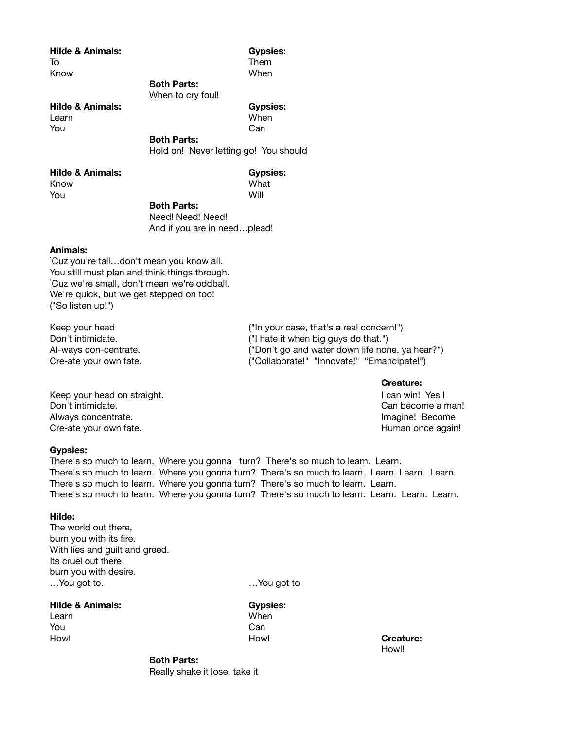**Hilde & Animals: Gypsies:** To the contract of the contract of the contract of the contract of the contract of the contract of the contract of the contract of the contract of the contract of the contract of the contract of the contract of the contrac

Know **Example 2018** Mooney Mooney Mooney Mooney Mooney Mooney Mooney Mooney Mooney Mooney Mooney Mooney Mooney Mooney Mooney Mooney Mooney Mooney Mooney Mooney Mooney Mooney Mooney Mooney Mooney Mooney Mooney Mooney Mooney

 **Both Parts:** 

 When to cry foul!

**Hilde & Animals: Gypsies:** 

You **Can** 

Learn **Communist Communist Communist Communist Communist Communist Communist Communist Communist Communist Communist Communist Communist Communist Communist Communist Communist Communist Communist Communist Communist Commu** 

 **Both Parts:** Hold on! Never letting go! You should

#### **Hilde & Animals: Gypsies:**  Know **Example 2018** Model Controller Model Controller Model Controller Model Controller Model Controller Model Controller Model Controller Model Controller Model Controller Model Controller Model Controller Model Controlle

You are a set of the set of the Will and Will are the Will and Will are the Will and Will are the Will and Will

 **Both Parts:** Need! Need! Need! And if you are in need…plead!

#### **Animals:**

`Cuz you're tall…don't mean you know all. You still must plan and think things through. `Cuz we're small, don't mean we're oddball. We're quick, but we get stepped on too! ("So listen up!")

Keep your head *Neep your head Neep your head*  $\left( \text{``In your case, that's a real concern!''} \right)$ 

Keep your head on straight. **I can winter the straight X I can winter the straight I can winter the straight** Don't intimidate. *Don't intimidate n Can become a man!* Always concentrate. Imagine! Become Cre-ate your own fate. *Creative accounts a contract of the Creative Muman once again!* **Creative Accounts and Creative Accounts and Accounts and Accounts again!** 

Don't intimidate. **Don't intimidate.** ("I hate it when big guys do that.") Al-ways con-centrate.  $\blacksquare$  ("Don't go and water down life none, ya hear?") Cre-ate your own fate. ("Collaborate!" "Innovate!" "Emancipate!")

#### **Creature: A Construction of the Creature: A Creature:**

#### **Gypsies:**

There's so much to learn. Where you gonna turn? There's so much to learn. Learn. There's so much to learn. Where you gonna turn? There's so much to learn. Learn. Learn. Learn. There's so much to learn. Where you gonna turn? There's so much to learn. Learn. There's so much to learn. Where you gonna turn? There's so much to learn. Learn. Learn. Learn.

#### **Hilde:**

The world out there, burn you with its fire. With lies and guilt and greed. Its cruel out there burn you with desire. …You got to. **A** mean of the set of the set of the set of the set of the set of the set of the set of the set of the set of the set of the set of the set of the set of the set of the set of the set of the set of the set of

#### **Hilde & Animals: Gypsies:**

Learn **Communist Communist Communist Communist Communist Communist Communist Communist Communist Communist Communist Communist Communist Communist Communist Communist Communist Communist Communist Communist Communist Commu** You **Can** 

Howl **Creature: Howl Howl Creature:** Howl! The contract of the contract of the contract of the contract of the contract of the contract of the contract of the contract of the contract of the contract of the contract of the contract of the contract of the cont

> **Both Parts:** Really shake it lose, take it